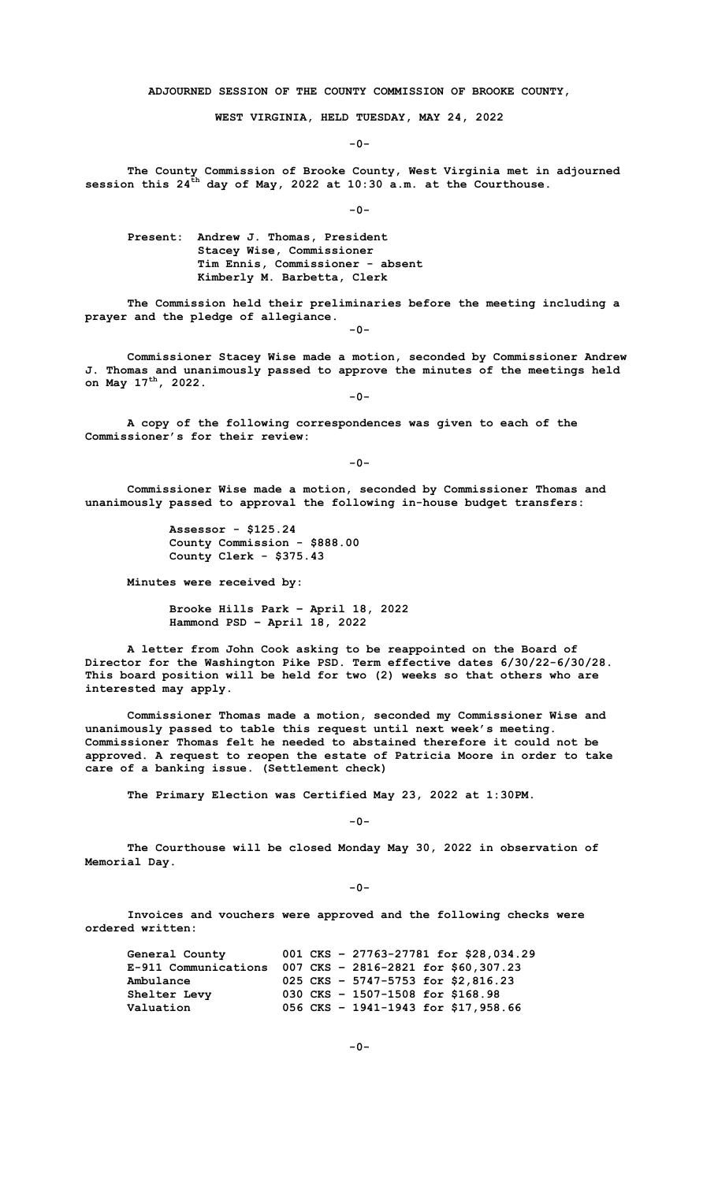**ADJOURNED SESSION OF THE COUNTY COMMISSION OF BROOKE COUNTY,**

**WEST VIRGINIA, HELD TUESDAY, MAY 24, 2022**

**-0-**

**The County Commission of Brooke County, West Virginia met in adjourned session this 24th day of May, 2022 at 10:30 a.m. at the Courthouse.**

**-0-**

**Present: Andrew J. Thomas, President Stacey Wise, Commissioner Tim Ennis, Commissioner - absent Kimberly M. Barbetta, Clerk**

**The Commission held their preliminaries before the meeting including a prayer and the pledge of allegiance.** 

**-0-**

**Commissioner Stacey Wise made a motion, seconded by Commissioner Andrew J. Thomas and unanimously passed to approve the minutes of the meetings held on May 17th, 2022. -0-**

**A copy of the following correspondences was given to each of the Commissioner's for their review:**

**-0-**

**Commissioner Wise made a motion, seconded by Commissioner Thomas and unanimously passed to approval the following in-house budget transfers:**

> **Assessor - \$125.24 County Commission - \$888.00 County Clerk - \$375.43**

**Minutes were received by:**

**Brooke Hills Park – April 18, 2022 Hammond PSD – April 18, 2022**

**A letter from John Cook asking to be reappointed on the Board of Director for the Washington Pike PSD. Term effective dates 6/30/22-6/30/28. This board position will be held for two (2) weeks so that others who are interested may apply.**

**Commissioner Thomas made a motion, seconded my Commissioner Wise and unanimously passed to table this request until next week's meeting. Commissioner Thomas felt he needed to abstained therefore it could not be approved. A request to reopen the estate of Patricia Moore in order to take care of a banking issue. (Settlement check)**

**The Primary Election was Certified May 23, 2022 at 1:30PM.**

**-0-**

**The Courthouse will be closed Monday May 30, 2022 in observation of Memorial Day.** 

**-0-**

**Invoices and vouchers were approved and the following checks were ordered written:**

 **General County 001 CKS – 27763-27781 for \$28,034.29 E-911 Communications 007 CKS – 2816-2821 for \$60,307.23 Ambulance 025 CKS – 5747-5753 for \$2,816.23 Shelter Levy 030 CKS – 1507-1508 for \$168.98 Valuation 056 CKS – 1941-1943 for \$17,958.66**